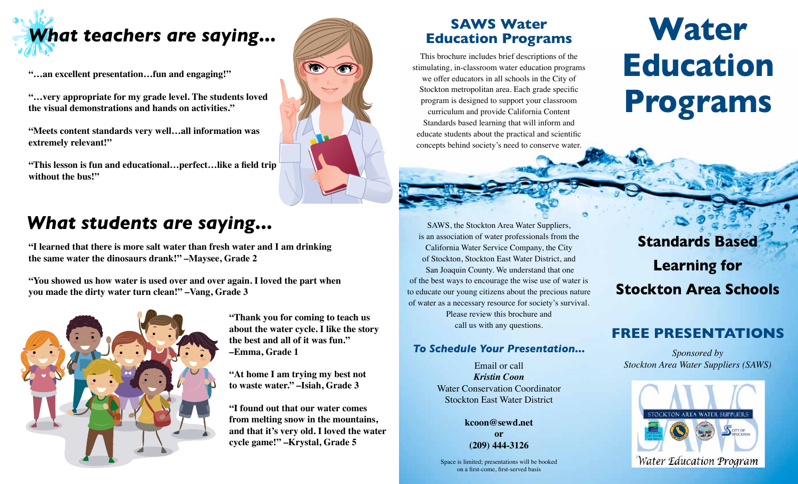

**"…an excellent presentation…fun and engaging!"**

**"…very appropriate for my grade level. The students loved the visual demonstrations and hands on activities."**

**"Meets content standards very well…all information was extremely relevant!"**

**"This lesson is fun and educational…perfect…like a field trip without the bus!"**

## **SAWS Water Education Programs**

This brochure includes brief descriptions of the stimulating, in-classroom water education programs we offer educators in all schools in the City of Stockton metropolitan area. Each grade specific program is designed to support your classroom curriculum and provide California Content Standards based learning that will inform and educate students about the practical and scientific concepts behind society's need to conserve water.

# **Water Education Programs**

## *What students are saying...*

**"I learned that there is more salt water than fresh water and I am drinking the same water the dinosaurs drank!" –Maysee, Grade 2** 

**"You showed us how water is used over and over again. I loved the part when you made the dirty water turn clean!" –Vang, Grade 3**



**"Thank you for coming to teach us about the water cycle. I like the story the best and all of it was fun." –Emma, Grade 1** 

**"At home I am trying my best not to waste water." –Isiah, Grade 3**

**"I found out that our water comes from melting snow in the mountains, and that it's very old. I loved the water cycle game!" –Krystal, Grade 5**

SAWS, the Stockton Area Water Suppliers, is an association of water professionals from the California Water Service Company, the City of Stockton, Stockton East Water District, and San Joaquin County. We understand that one of the best ways to encourage the wise use of water is to educate our young citizens about the precious nature of water as a necessary resource for society's survival. Please review this brochure and call us with any questions.

### *To Schedule Your Presentation...*

Email or call *Kristin Coon*  Water Conservation Coordinator Stockton East Water District

> **kcoon@sewd.net or (209) 444-3126**

Space is limited; presentations will be booked on a first-come, first-served basis

**Standards Based Learning for Stockton Area Schools**

## **Free Presentations**

*Sponsored by Stockton Area Water Suppliers (SAWS)*